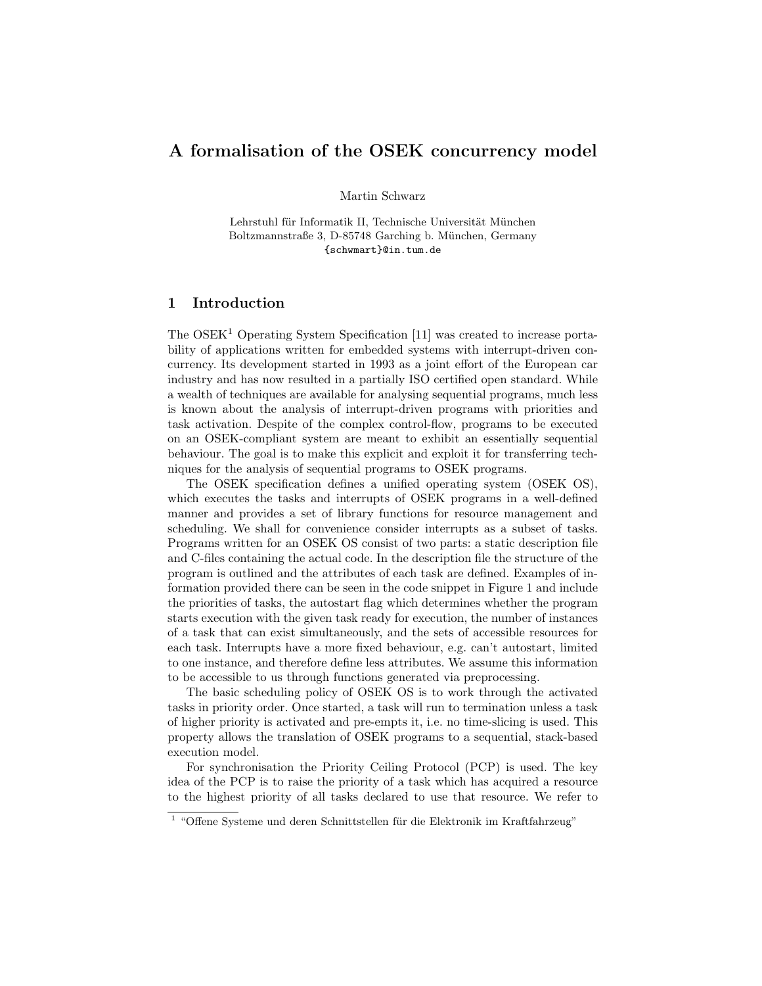# A formalisation of the OSEK concurrency model

Martin Schwarz

Lehrstuhl für Informatik II, Technische Universität München Boltzmannstraße 3, D-85748 Garching b. München, Germany {schwmart}@in.tum.de

### 1 Introduction

The  $OSEK<sup>1</sup>$  Operating System Specification [11] was created to increase portability of applications written for embedded systems with interrupt-driven concurrency. Its development started in 1993 as a joint effort of the European car industry and has now resulted in a partially ISO certified open standard. While a wealth of techniques are available for analysing sequential programs, much less is known about the analysis of interrupt-driven programs with priorities and task activation. Despite of the complex control-flow, programs to be executed on an OSEK-compliant system are meant to exhibit an essentially sequential behaviour. The goal is to make this explicit and exploit it for transferring techniques for the analysis of sequential programs to OSEK programs.

The OSEK specification defines a unified operating system (OSEK OS), which executes the tasks and interrupts of OSEK programs in a well-defined manner and provides a set of library functions for resource management and scheduling. We shall for convenience consider interrupts as a subset of tasks. Programs written for an OSEK OS consist of two parts: a static description file and C-files containing the actual code. In the description file the structure of the program is outlined and the attributes of each task are defined. Examples of information provided there can be seen in the code snippet in Figure 1 and include the priorities of tasks, the autostart flag which determines whether the program starts execution with the given task ready for execution, the number of instances of a task that can exist simultaneously, and the sets of accessible resources for each task. Interrupts have a more fixed behaviour, e.g. can't autostart, limited to one instance, and therefore define less attributes. We assume this information to be accessible to us through functions generated via preprocessing.

The basic scheduling policy of OSEK OS is to work through the activated tasks in priority order. Once started, a task will run to termination unless a task of higher priority is activated and pre-empts it, i.e. no time-slicing is used. This property allows the translation of OSEK programs to a sequential, stack-based execution model.

For synchronisation the Priority Ceiling Protocol (PCP) is used. The key idea of the PCP is to raise the priority of a task which has acquired a resource to the highest priority of all tasks declared to use that resource. We refer to

 $1$  "Offene Systeme und deren Schnittstellen für die Elektronik im Kraftfahrzeug"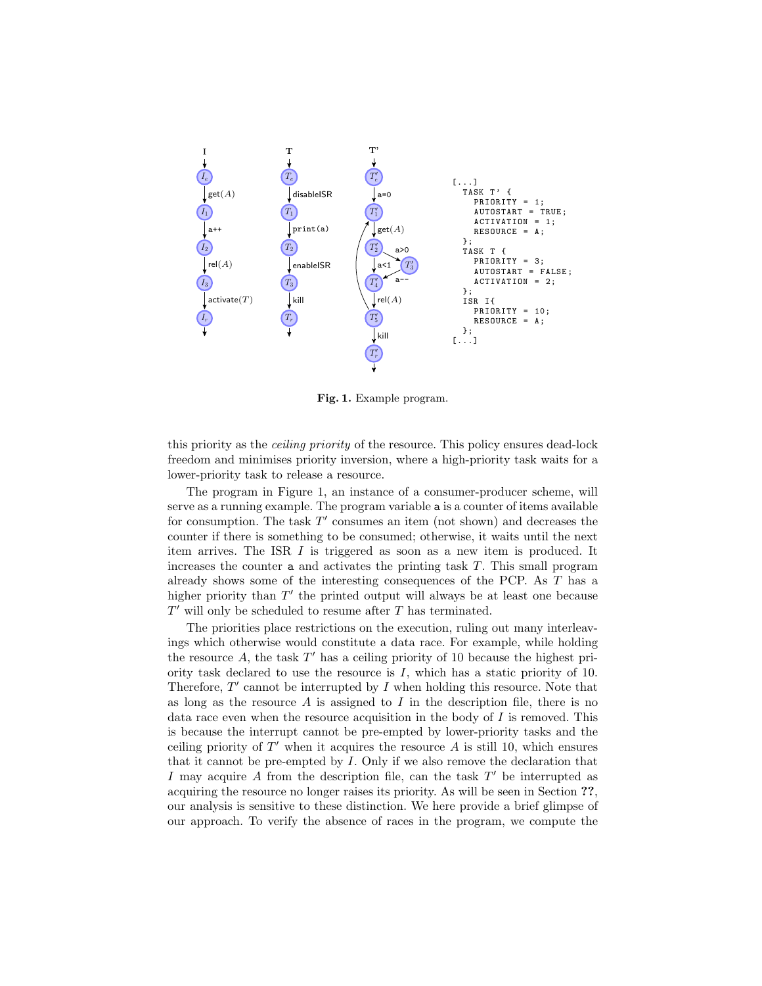

Fig. 1. Example program.

this priority as the ceiling priority of the resource. This policy ensures dead-lock freedom and minimises priority inversion, where a high-priority task waits for a lower-priority task to release a resource.

The program in Figure 1, an instance of a consumer-producer scheme, will serve as a running example. The program variable a is a counter of items available for consumption. The task  $T'$  consumes an item (not shown) and decreases the counter if there is something to be consumed; otherwise, it waits until the next item arrives. The ISR I is triggered as soon as a new item is produced. It increases the counter a and activates the printing task T. This small program already shows some of the interesting consequences of the PCP. As T has a higher priority than  $T'$  the printed output will always be at least one because  $T'$  will only be scheduled to resume after  $T$  has terminated.

The priorities place restrictions on the execution, ruling out many interleavings which otherwise would constitute a data race. For example, while holding the resource  $A$ , the task  $T'$  has a ceiling priority of 10 because the highest priority task declared to use the resource is I, which has a static priority of 10. Therefore,  $T'$  cannot be interrupted by  $I$  when holding this resource. Note that as long as the resource  $A$  is assigned to  $I$  in the description file, there is no data race even when the resource acquisition in the body of  $I$  is removed. This is because the interrupt cannot be pre-empted by lower-priority tasks and the ceiling priority of  $T'$  when it acquires the resource  $A$  is still 10, which ensures that it cannot be pre-empted by  $I$ . Only if we also remove the declaration that I may acquire  $A$  from the description file, can the task  $T'$  be interrupted as acquiring the resource no longer raises its priority. As will be seen in Section ??, our analysis is sensitive to these distinction. We here provide a brief glimpse of our approach. To verify the absence of races in the program, we compute the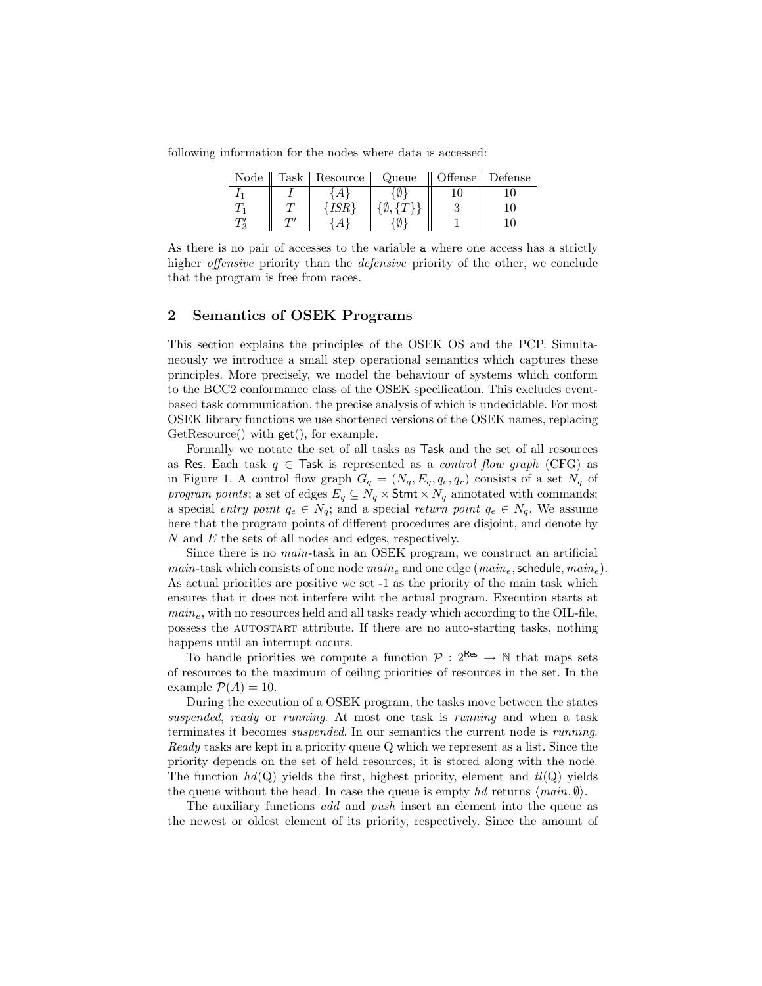following information for the nodes where data is accessed:

| Node     | $\parallel$ Task $\parallel$ Resource | $\vert$ Queue | $\parallel$ Offense $\parallel$ Defense |    |
|----------|---------------------------------------|---------------|-----------------------------------------|----|
|          |                                       |               |                                         |    |
|          |                                       |               |                                         | 10 |
| $T'_{3}$ |                                       |               |                                         |    |

As there is no pair of accesses to the variable a where one access has a strictly higher *offensive* priority than the *defensive* priority of the other, we conclude that the program is free from races.

### 2 Semantics of OSEK Programs

This section explains the principles of the OSEK OS and the PCP. Simultaneously we introduce a small step operational semantics which captures these principles. More precisely, we model the behaviour of systems which conform to the BCC2 conformance class of the OSEK specification. This excludes eventbased task communication, the precise analysis of which is undecidable. For most OSEK library functions we use shortened versions of the OSEK names, replacing GetResource() with get(), for example.

Formally we notate the set of all tasks as Task and the set of all resources as Res. Each task  $q \in$  Task is represented as a *control flow graph* (CFG) as in Figure 1. A control flow graph  $G_q = (N_q, E_q, q_e, q_r)$  consists of a set  $N_q$  of program points; a set of edges  $E_q \subseteq N_q \times$  Stmt  $\times N_q$  annotated with commands; a special entry point  $q_e \in N_q$ ; and a special return point  $q_e \in N_q$ . We assume here that the program points of different procedures are disjoint, and denote by N and E the sets of all nodes and edges, respectively.

Since there is no main-task in an OSEK program, we construct an artificial main-task which consists of one node  $main_e$  and one edge  $(min_e, \text{schedule}, main_e)$ . As actual priorities are positive we set -1 as the priority of the main task which ensures that it does not interfere wiht the actual program. Execution starts at  $main_e$ , with no resources held and all tasks ready which according to the OIL-file, possess the autostart attribute. If there are no auto-starting tasks, nothing happens until an interrupt occurs.

To handle priorities we compute a function  $\mathcal{P}: 2^{\text{Res}} \to \mathbb{N}$  that maps sets of resources to the maximum of ceiling priorities of resources in the set. In the example  $\mathcal{P}(A) = 10$ .

During the execution of a OSEK program, the tasks move between the states suspended, ready or running. At most one task is running and when a task terminates it becomes suspended. In our semantics the current node is running. Ready tasks are kept in a priority queue Q which we represent as a list. Since the priority depends on the set of held resources, it is stored along with the node. The function  $hd(Q)$  yields the first, highest priority, element and  $tl(Q)$  yields the queue without the head. In case the queue is empty hd returns  $\langle main, \emptyset \rangle$ .

The auxiliary functions add and push insert an element into the queue as the newest or oldest element of its priority, respectively. Since the amount of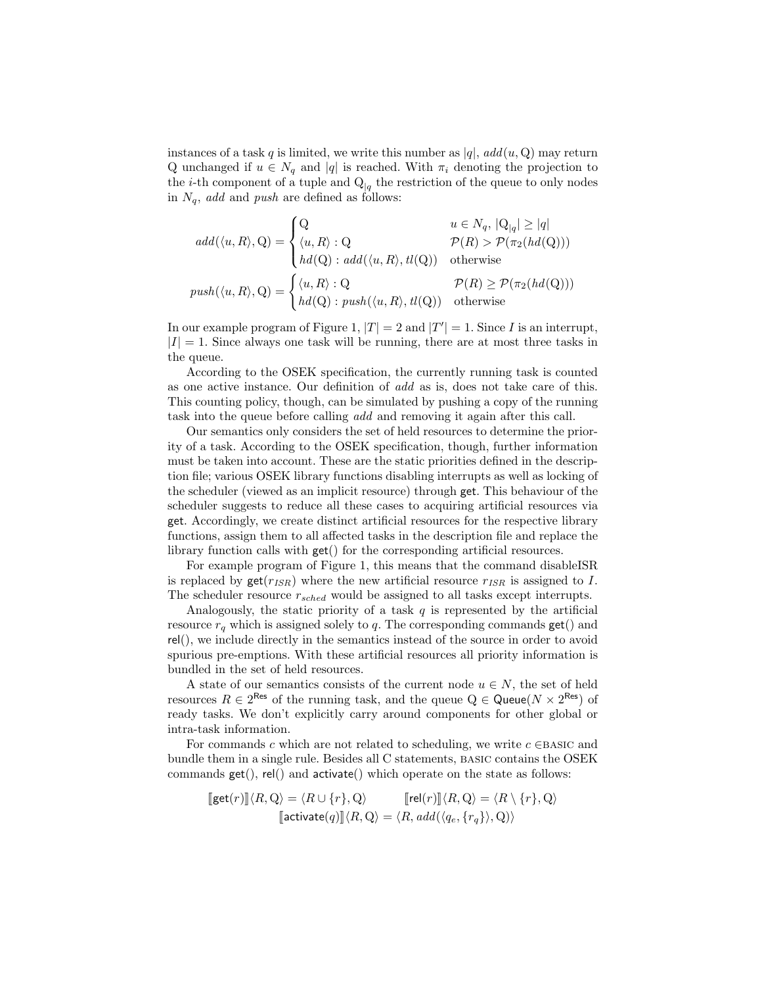instances of a task q is limited, we write this number as  $|q|$ ,  $add(u, Q)$  may return Q unchanged if  $u \in N_q$  and |q| is reached. With  $\pi_i$  denoting the projection to the *i*-th component of a tuple and  $Q_{|q}$  the restriction of the queue to only nodes in  $N_q$ , add and push are defined as follows:

$$
add(\langle u, R \rangle, Q) = \begin{cases} Q & u \in N_q, |Q_q| \ge |q| \\ \langle u, R \rangle : Q & \mathcal{P}(R) > \mathcal{P}(\pi_2(hd(Q))) \\ hd(Q) : add(\langle u, R \rangle, tl(Q)) & \text{otherwise} \end{cases}
$$

$$
push(\langle u, R \rangle, Q) = \begin{cases} \langle u, R \rangle : Q & \mathcal{P}(R) \ge \mathcal{P}(\pi_2(hd(Q))) \\ hd(Q) : push(\langle u, R \rangle, tl(Q)) & \text{otherwise} \end{cases}
$$

In our example program of Figure 1,  $|T| = 2$  and  $|T'| = 1$ . Since I is an interrupt,  $|I| = 1$ . Since always one task will be running, there are at most three tasks in the queue.

According to the OSEK specification, the currently running task is counted as one active instance. Our definition of add as is, does not take care of this. This counting policy, though, can be simulated by pushing a copy of the running task into the queue before calling add and removing it again after this call.

Our semantics only considers the set of held resources to determine the priority of a task. According to the OSEK specification, though, further information must be taken into account. These are the static priorities defined in the description file; various OSEK library functions disabling interrupts as well as locking of the scheduler (viewed as an implicit resource) through get. This behaviour of the scheduler suggests to reduce all these cases to acquiring artificial resources via get. Accordingly, we create distinct artificial resources for the respective library functions, assign them to all affected tasks in the description file and replace the library function calls with get() for the corresponding artificial resources.

For example program of Figure 1, this means that the command disableISR is replaced by  $\text{get}(r_{ISR})$  where the new artificial resource  $r_{ISR}$  is assigned to I. The scheduler resource  $r_{sched}$  would be assigned to all tasks except interrupts.

Analogously, the static priority of a task  $q$  is represented by the artificial resource  $r_q$  which is assigned solely to q. The corresponding commands  $get()$  and rel(), we include directly in the semantics instead of the source in order to avoid spurious pre-emptions. With these artificial resources all priority information is bundled in the set of held resources.

A state of our semantics consists of the current node  $u \in N$ , the set of held resources  $R \in 2^{\text{Res}}$  of the running task, and the queue  $Q \in \text{Queue}(N \times 2^{\text{Res}})$  of ready tasks. We don't explicitly carry around components for other global or intra-task information.

For commands c which are not related to scheduling, we write  $c \in$ BASIC and bundle them in a single rule. Besides all C statements, basic contains the OSEK commands  $get()$ ,  $rel()$  and  $activate()$  which operate on the state as follows:

$$
[\text{get}(r)] \langle R, Q \rangle = \langle R \cup \{r\}, Q \rangle \qquad [\text{rel}(r)] \langle R, Q \rangle = \langle R \setminus \{r\}, Q \rangle
$$

$$
[\text{activate}(q)] \langle R, Q \rangle = \langle R, add(\langle q_e, \{r_q\} \rangle, Q) \rangle
$$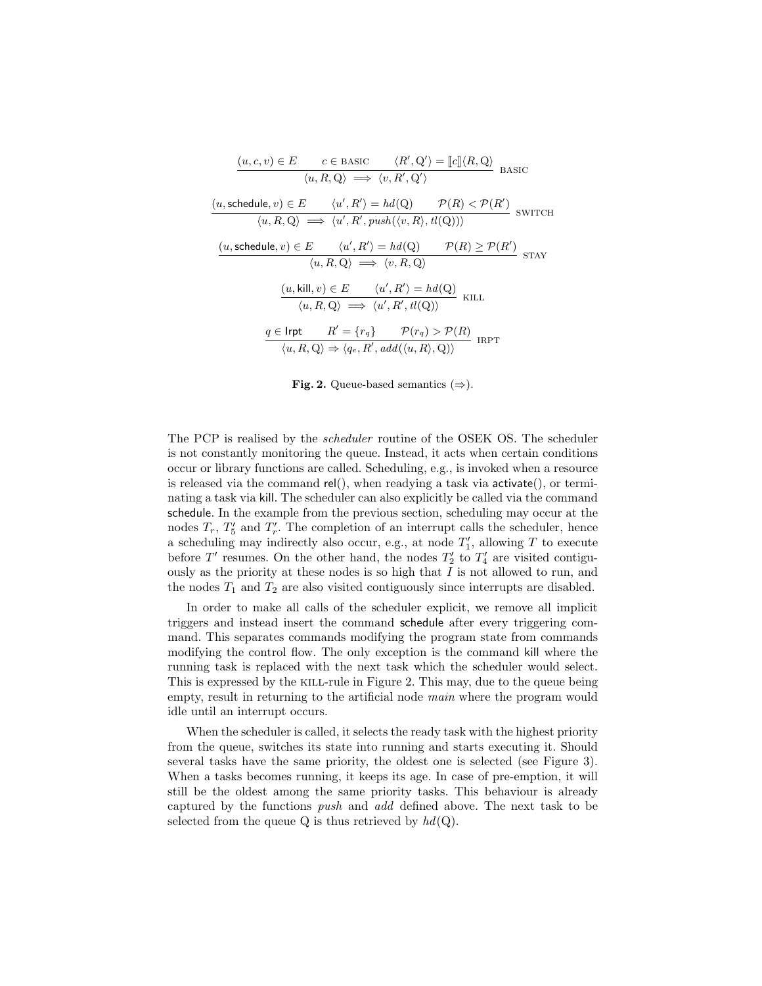| $(u, c, v) \in E$ $c \in BASIC$ $\langle R', Q' \rangle = [c] \langle R, Q \rangle$<br>$\langle u, R, Q \rangle \implies \langle v, R', Q' \rangle$ BASIC                                                                   |                                                                                                                                       |                                                                                                                                                                              |  |
|-----------------------------------------------------------------------------------------------------------------------------------------------------------------------------------------------------------------------------|---------------------------------------------------------------------------------------------------------------------------------------|------------------------------------------------------------------------------------------------------------------------------------------------------------------------------|--|
|                                                                                                                                                                                                                             |                                                                                                                                       |                                                                                                                                                                              |  |
| $(u, \text{schedule}, v) \in E \qquad \langle u', R' \rangle = hd(Q) \qquad \mathcal{P}(R) < \mathcal{P}(R')$<br>$\langle u, R, Q \rangle \implies \langle u', R', \text{push}(\langle v, R \rangle, tl(Q)) \rangle$ SWITCH |                                                                                                                                       |                                                                                                                                                                              |  |
| $(u, \text{schedule}, v) \in E$ $\langle u', R' \rangle = hd(Q)$ $\mathcal{P}(R) \ge \mathcal{P}(R')$ STAY                                                                                                                  | $\langle u, R, Q \rangle \implies \langle v, R, Q \rangle$                                                                            |                                                                                                                                                                              |  |
|                                                                                                                                                                                                                             | $(u, \text{kill}, v) \in E$ $\langle u', R' \rangle = hd(Q)$<br>$\langle u, R, Q \rangle \implies \langle u', R', tl(Q) \rangle$ KILL |                                                                                                                                                                              |  |
|                                                                                                                                                                                                                             |                                                                                                                                       | $q \in \textsf{Irrt}$ $R' = \{r_q\}$ $\mathcal{P}(r_q) > \mathcal{P}(R)$<br>$\langle u, R, Q \rangle \Rightarrow \langle q_e, R', add(\langle u, R \rangle, Q) \rangle$ IRPT |  |

Fig. 2. Queue-based semantics  $(\Rightarrow)$ .

The PCP is realised by the scheduler routine of the OSEK OS. The scheduler is not constantly monitoring the queue. Instead, it acts when certain conditions occur or library functions are called. Scheduling, e.g., is invoked when a resource is released via the command rel(), when readying a task via  $\arctan(\theta)$ , or terminating a task via kill. The scheduler can also explicitly be called via the command schedule. In the example from the previous section, scheduling may occur at the nodes  $T_r$ ,  $T'_5$  and  $T'_r$ . The completion of an interrupt calls the scheduler, hence a scheduling may indirectly also occur, e.g., at node  $T'_1$ , allowing T to execute before  $T'$  resumes. On the other hand, the nodes  $T'_2$  to  $T'_4$  are visited contiguously as the priority at these nodes is so high that  $I$  is not allowed to run, and the nodes  $T_1$  and  $T_2$  are also visited contiguously since interrupts are disabled.

In order to make all calls of the scheduler explicit, we remove all implicit triggers and instead insert the command schedule after every triggering command. This separates commands modifying the program state from commands modifying the control flow. The only exception is the command kill where the running task is replaced with the next task which the scheduler would select. This is expressed by the kill-rule in Figure 2. This may, due to the queue being empty, result in returning to the artificial node *main* where the program would idle until an interrupt occurs.

When the scheduler is called, it selects the ready task with the highest priority from the queue, switches its state into running and starts executing it. Should several tasks have the same priority, the oldest one is selected (see Figure 3). When a tasks becomes running, it keeps its age. In case of pre-emption, it will still be the oldest among the same priority tasks. This behaviour is already captured by the functions push and add defined above. The next task to be selected from the queue Q is thus retrieved by  $hd(Q)$ .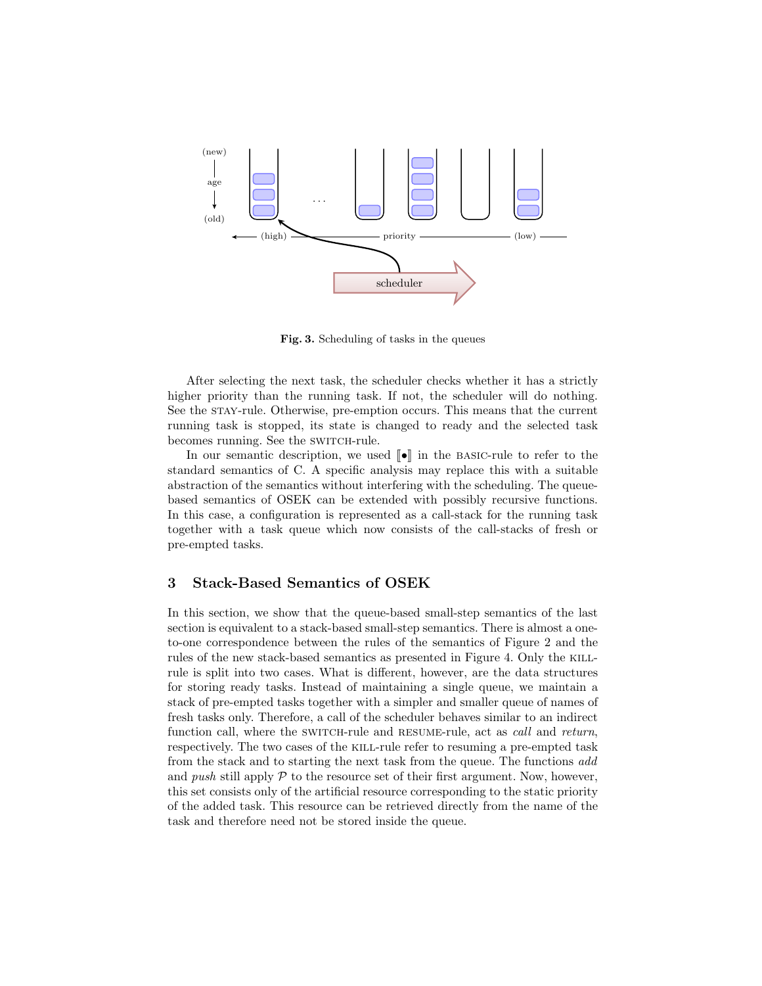

Fig. 3. Scheduling of tasks in the queues

After selecting the next task, the scheduler checks whether it has a strictly higher priority than the running task. If not, the scheduler will do nothing. See the stay-rule. Otherwise, pre-emption occurs. This means that the current running task is stopped, its state is changed to ready and the selected task becomes running. See the SWITCH-rule.

In our semantic description, we used  $\llbracket \bullet \rrbracket$  in the BASIC-rule to refer to the standard semantics of C. A specific analysis may replace this with a suitable abstraction of the semantics without interfering with the scheduling. The queuebased semantics of OSEK can be extended with possibly recursive functions. In this case, a configuration is represented as a call-stack for the running task together with a task queue which now consists of the call-stacks of fresh or pre-empted tasks.

## 3 Stack-Based Semantics of OSEK

In this section, we show that the queue-based small-step semantics of the last section is equivalent to a stack-based small-step semantics. There is almost a oneto-one correspondence between the rules of the semantics of Figure 2 and the rules of the new stack-based semantics as presented in Figure 4. Only the KILLrule is split into two cases. What is different, however, are the data structures for storing ready tasks. Instead of maintaining a single queue, we maintain a stack of pre-empted tasks together with a simpler and smaller queue of names of fresh tasks only. Therefore, a call of the scheduler behaves similar to an indirect function call, where the SWITCH-rule and RESUME-rule, act as *call* and *return*, respectively. The two cases of the kill-rule refer to resuming a pre-empted task from the stack and to starting the next task from the queue. The functions add and push still apply  $P$  to the resource set of their first argument. Now, however, this set consists only of the artificial resource corresponding to the static priority of the added task. This resource can be retrieved directly from the name of the task and therefore need not be stored inside the queue.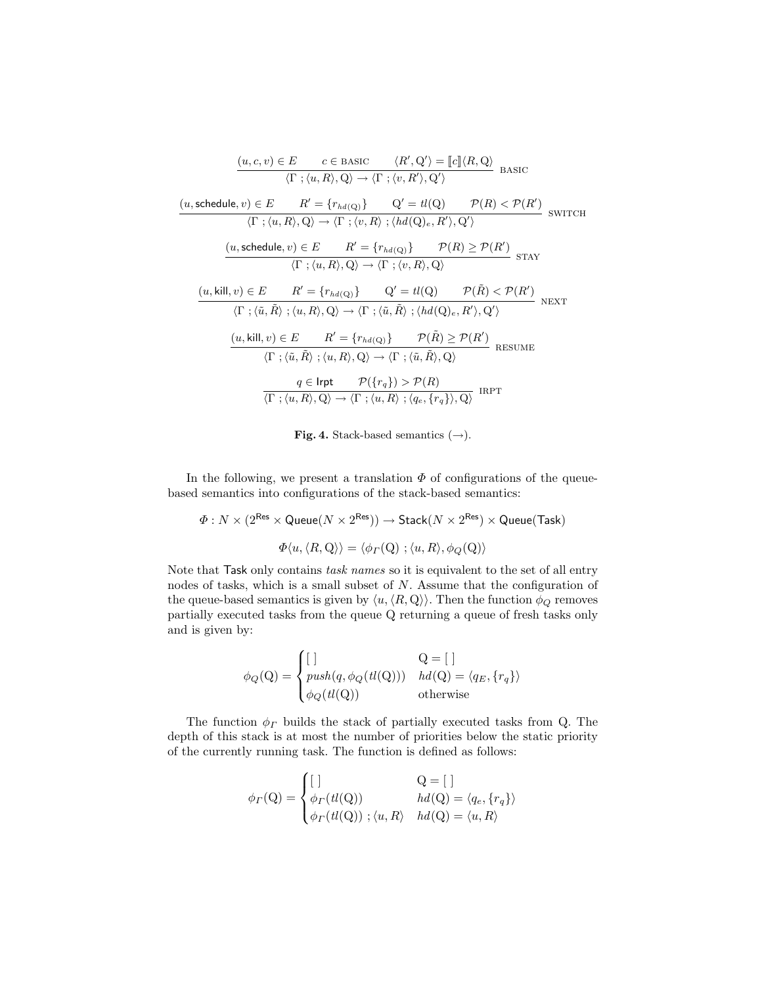$$
\frac{(u, c, v) \in E \qquad c \in \text{BASIC} \qquad \langle R', Q' \rangle = [c] \langle R, Q \rangle}{\langle \Gamma ; \langle u, R \rangle, Q \rangle \rightarrow \langle \Gamma ; \langle v, R' \rangle, Q' \rangle} \quad \text{BASIC}
$$
\n
$$
\frac{(u, \text{ schedule}, v) \in E \qquad R' = \{r_{hd}(Q)\} \qquad Q' = tl(Q) \qquad \mathcal{P}(R) < \mathcal{P}(R')}{\langle \Gamma ; \langle u, R \rangle, Q \rangle \rightarrow \langle \Gamma ; \langle v, R \rangle; \langle hd(Q)_{e}, R' \rangle, Q' \rangle} \quad \text{SWITCH}
$$
\n
$$
\frac{(u, \text{ schedule}, v) \in E \qquad R' = \{r_{hd}(Q)\} \qquad \mathcal{P}(R) \ge \mathcal{P}(R')}{\langle \Gamma ; \langle u, R \rangle, Q \rangle \rightarrow \langle \Gamma ; \langle v, R \rangle, Q \rangle} \quad \text{STAY}
$$
\n
$$
\frac{(u, \text{kill}, v) \in E \qquad R' = \{r_{hd}(Q)\} \qquad Q' = tl(Q) \qquad \mathcal{P}(\tilde{R}) < \mathcal{P}(R')}{\langle \Gamma ; \langle \tilde{u}, \tilde{R} \rangle; \langle u, R \rangle, Q \rangle \rightarrow \langle \Gamma ; \langle \tilde{u}, \tilde{R} \rangle; \langle hd(Q)_{e}, R' \rangle, Q' \rangle} \quad \text{NEXT}
$$
\n
$$
\frac{(u, \text{kill}, v) \in E \qquad R' = \{r_{hd}(Q)\} \qquad \mathcal{P}(\tilde{R}) \ge \mathcal{P}(R')}{\langle \Gamma ; \langle \tilde{u}, \tilde{R} \rangle; \langle u, R \rangle, Q \rangle \rightarrow \langle \Gamma ; \langle \tilde{u}, \tilde{R} \rangle, Q \rangle} \quad \text{RESUME}
$$
\n
$$
\frac{q \in \text{Irpt} \qquad \mathcal{P}(\{r_q\}) > \mathcal{P}(R)}{\langle \Gamma ; \langle u, R \rangle, Q \rangle \rightarrow \langle \Gamma ; \langle u, R \rangle; \langle q_e, \{r_q\} \rangle, Q \rangle} \quad \text{IRPT}
$$

Fig. 4. Stack-based semantics  $(\rightarrow)$ .

In the following, we present a translation  $\Phi$  of configurations of the queuebased semantics into configurations of the stack-based semantics:

$$
\begin{array}{c}\varPhi: N \times (2^{\sf Res} \times {\sf Queue}(N \times 2^{\sf Res})) \to {\sf Stack}(N \times 2^{\sf Res}) \times {\sf Queue}({\sf Task})\\ \\ \varPhi\langle u, \langle R, {\sf Q} \rangle \rangle = \langle \phi_{\varGamma}({\sf Q}) \; ; \langle u, R \rangle, \phi_{\cal Q}({\sf Q}) \rangle\end{array}
$$

Note that Task only contains task names so it is equivalent to the set of all entry nodes of tasks, which is a small subset of N. Assume that the configuration of the queue-based semantics is given by  $\langle u, \langle R, Q \rangle \rangle$ . Then the function  $\phi_Q$  removes partially executed tasks from the queue Q returning a queue of fresh tasks only and is given by:

$$
\phi_Q(Q) = \begin{cases}\n[ \quad] & Q = [\quad] \\
push(q, \phi_Q(tl(Q))) & hd(Q) = \langle q_E, \{r_q\} \rangle \\
\phi_Q(tl(Q)) & \text{otherwise}\n\end{cases}
$$

The function  $\phi_{\varGamma}$  builds the stack of partially executed tasks from Q. The depth of this stack is at most the number of priorities below the static priority of the currently running task. The function is defined as follows:

$$
\phi_{\Gamma}(\mathbf{Q}) = \begin{cases}\n[ \quad & \mathbf{Q} = [\ ] \\
\phi_{\Gamma}(tl(\mathbf{Q})) & hd(\mathbf{Q}) = \langle q_e, \{r_q\} \rangle \\
\phi_{\Gamma}(tl(\mathbf{Q})); \langle u, R \rangle & hd(\mathbf{Q}) = \langle u, R \rangle\n\end{cases}
$$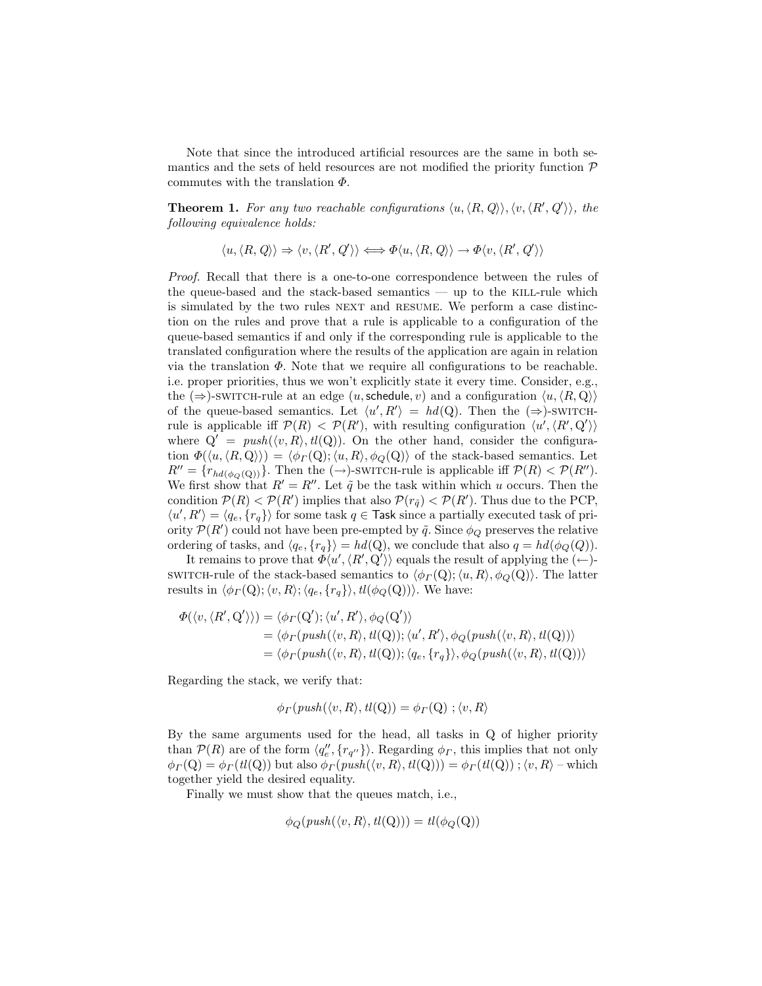Note that since the introduced artificial resources are the same in both semantics and the sets of held resources are not modified the priority function  $\mathcal P$ commutes with the translation  $\Phi$ .

**Theorem 1.** For any two reachable configurations  $\langle u, \langle R, Q \rangle \rangle$ ,  $\langle v, \langle R', Q' \rangle \rangle$ , the following equivalence holds:

$$
\langle u, \langle R, Q \rangle \rangle \Rightarrow \langle v, \langle R', Q' \rangle \rangle \Longleftrightarrow \Phi \langle u, \langle R, Q \rangle \rangle \rightarrow \Phi \langle v, \langle R', Q' \rangle \rangle
$$

Proof. Recall that there is a one-to-one correspondence between the rules of the queue-based and the stack-based semantics — up to the KILL-rule which is simulated by the two rules NEXT and RESUME. We perform a case distinction on the rules and prove that a rule is applicable to a configuration of the queue-based semantics if and only if the corresponding rule is applicable to the translated configuration where the results of the application are again in relation via the translation  $\Phi$ . Note that we require all configurations to be reachable. i.e. proper priorities, thus we won't explicitly state it every time. Consider, e.g., the  $(\Rightarrow)$ -switch-rule at an edge  $(u, \text{schedule}, v)$  and a configuration  $\langle u, \langle R, Q \rangle \rangle$ of the queue-based semantics. Let  $\langle u', R' \rangle = hd(Q)$ . Then the  $(\Rightarrow)$ -switchrule is applicable iff  $\mathcal{P}(R) < \mathcal{P}(R')$ , with resulting configuration  $\langle u', \langle R', \mathbf{Q}' \rangle \rangle$ where  $Q' = push(\langle v, R \rangle, tl(Q))$ . On the other hand, consider the configuration  $\Phi(\langle u, \langle R, Q \rangle \rangle) = \langle \phi(\Gamma Q); \langle u, R \rangle, \phi(\Gamma Q) \rangle$  of the stack-based semantics. Let  $R'' = \{r_{hd(\phi_Q(Q))}\}.$  Then the  $(\rightarrow)$ -switch-rule is applicable iff  $\mathcal{P}(R) < \mathcal{P}(R'')$ . We first show that  $R' = R''$ . Let  $\tilde{q}$  be the task within which u occurs. Then the condition  $\mathcal{P}(R) < \mathcal{P}(R')$  implies that also  $\mathcal{P}(r_{\tilde{q}}) < \mathcal{P}(R')$ . Thus due to the PCP,  $\langle u', R' \rangle = \langle q_e, \{r_q\} \rangle$  for some task  $q \in$  Task since a partially executed task of priority  $\mathcal{P}(R')$  could not have been pre-empted by  $\tilde{q}$ . Since  $\phi_Q$  preserves the relative ordering of tasks, and  $\langle q_e, \{r_q\}\rangle = hd(Q)$ , we conclude that also  $q = hd(\phi_Q(Q))$ .

It remains to prove that  $\overline{\Phi}\langle u', \langle R', \overline{Q}' \rangle \rangle$  equals the result of applying the  $(\leftarrow)$ switch-rule of the stack-based semantics to  $\langle \phi(\Gamma Q); \langle u, R \rangle, \phi_Q(Q)\rangle$ . The latter results in  $\langle \phi(\Gamma Q); \langle v, R \rangle; \langle q_e, \{r_q\} \rangle, \mathit{tl}(\phi_Q(Q))\rangle$ . We have:

$$
\Phi(\langle v, \langle R', Q' \rangle \rangle) = \langle \phi_{\Gamma}(Q'); \langle u', R' \rangle, \phi_{Q}(Q') \rangle \n= \langle \phi_{\Gamma}(push(\langle v, R \rangle, tl(Q)); \langle u', R' \rangle, \phi_{Q}(push(\langle v, R \rangle, tl(Q)) \rangle \n= \langle \phi_{\Gamma}(push(\langle v, R \rangle, tl(Q)); \langle q_e, \{r_q\} \rangle, \phi_{Q}(push(\langle v, R \rangle, tl(Q)) \rangle
$$

Regarding the stack, we verify that:

$$
\phi_{\Gamma}(push(\langle v, R \rangle, tl(Q)) = \phi_{\Gamma}(Q) ; \langle v, R \rangle
$$

By the same arguments used for the head, all tasks in Q of higher priority than  $P(R)$  are of the form  $\langle q_e'', \{r_{q''}\}\rangle$ . Regarding  $\phi_{\Gamma}$ , this implies that not only  $\phi_{\Gamma}(\mathbf{Q}) = \phi_{\Gamma}(tl(\mathbf{Q}))$  but also  $\phi_{\Gamma}(push(\langle v, R \rangle, tl(\mathbf{Q}))) = \phi_{\Gamma}(tl(\mathbf{Q}))$ ;  $\langle v, R \rangle$  – which together yield the desired equality.

Finally we must show that the queues match, i.e.,

$$
\phi_Q(\text{push}(\langle v, R \rangle, \text{tl}(Q))) = \text{tl}(\phi_Q(Q))
$$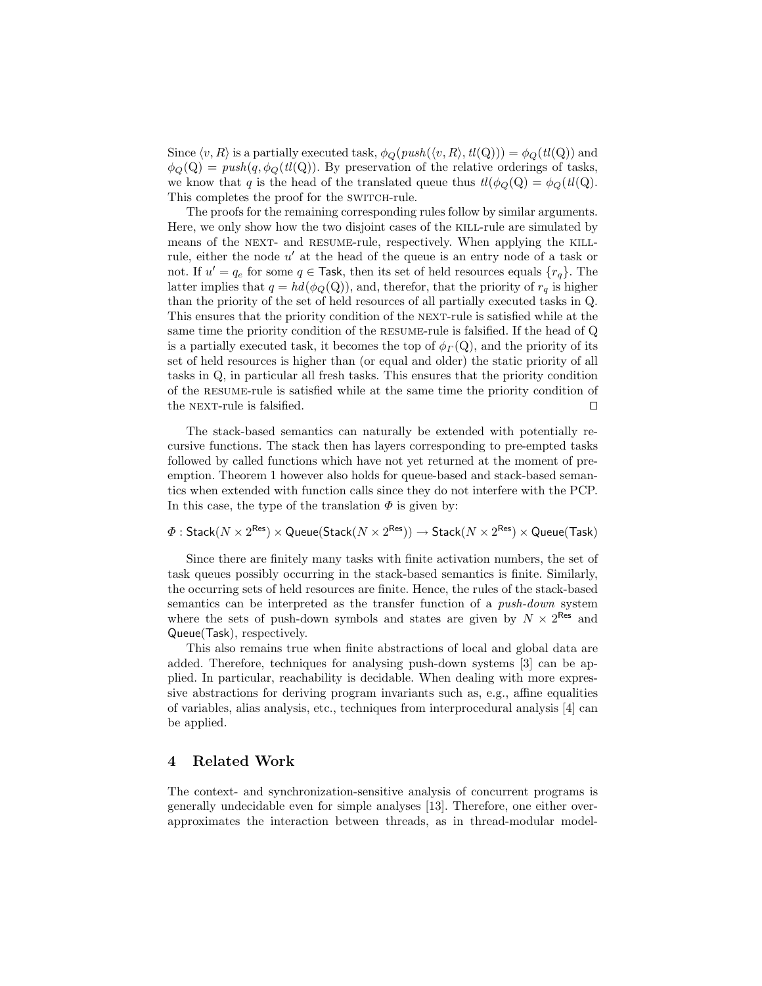Since  $\langle v, R \rangle$  is a partially executed task,  $\phi_Q(push(\langle v, R \rangle, tl(Q))) = \phi_Q(tl(Q))$  and  $\phi_Q(Q) = push(q, \phi_Q(t_l(Q)).$  By preservation of the relative orderings of tasks, we know that q is the head of the translated queue thus  $tl(\phi_Q(Q)) = \phi_Q(t)l(Q)$ . This completes the proof for the SWITCH-rule.

The proofs for the remaining corresponding rules follow by similar arguments. Here, we only show how the two disjoint cases of the kill-rule are simulated by means of the NEXT- and RESUME-rule, respectively. When applying the KILLrule, either the node  $u'$  at the head of the queue is an entry node of a task or not. If  $u' = q_e$  for some  $q \in$  Task, then its set of held resources equals  $\{r_q\}$ . The latter implies that  $q = hd(\phi_Q(Q))$ , and, therefor, that the priority of  $r_q$  is higher than the priority of the set of held resources of all partially executed tasks in Q. This ensures that the priority condition of the next-rule is satisfied while at the same time the priority condition of the resume-rule is falsified. If the head of Q is a partially executed task, it becomes the top of  $\phi(\Gamma Q)$ , and the priority of its set of held resources is higher than (or equal and older) the static priority of all tasks in Q, in particular all fresh tasks. This ensures that the priority condition of the resume-rule is satisfied while at the same time the priority condition of the NEXT-rule is falsified.  $\Box$ 

The stack-based semantics can naturally be extended with potentially recursive functions. The stack then has layers corresponding to pre-empted tasks followed by called functions which have not yet returned at the moment of preemption. Theorem 1 however also holds for queue-based and stack-based semantics when extended with function calls since they do not interfere with the PCP. In this case, the type of the translation  $\Phi$  is given by:

 $\varPhi: {\sf Stack}(N\times 2^{\sf Res})\times {\sf Queue}({\sf Stack}(N\times 2^{\sf Res})) \to {\sf Stack}(N\times 2^{\sf Res})\times {\sf Queue}({\sf Task})$ 

Since there are finitely many tasks with finite activation numbers, the set of task queues possibly occurring in the stack-based semantics is finite. Similarly, the occurring sets of held resources are finite. Hence, the rules of the stack-based semantics can be interpreted as the transfer function of a push-down system where the sets of push-down symbols and states are given by  $N \times 2^{\text{Res}}$  and Queue(Task), respectively.

This also remains true when finite abstractions of local and global data are added. Therefore, techniques for analysing push-down systems [3] can be applied. In particular, reachability is decidable. When dealing with more expressive abstractions for deriving program invariants such as, e.g., affine equalities of variables, alias analysis, etc., techniques from interprocedural analysis [4] can be applied.

#### 4 Related Work

The context- and synchronization-sensitive analysis of concurrent programs is generally undecidable even for simple analyses [13]. Therefore, one either overapproximates the interaction between threads, as in thread-modular model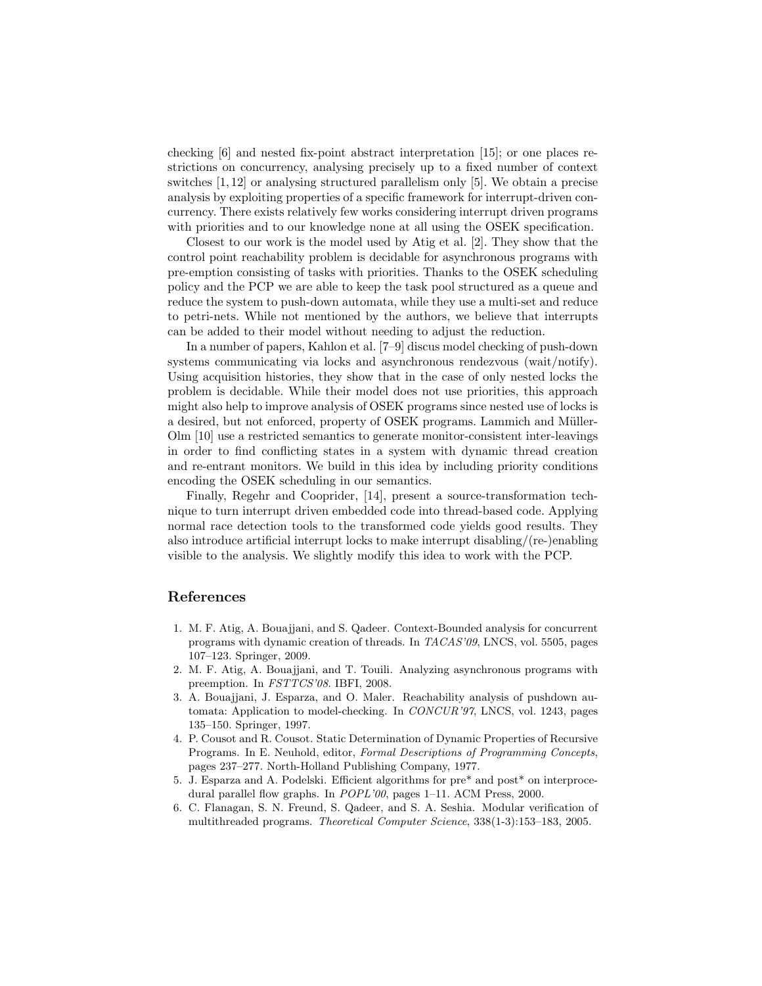checking  $\left|6\right|$  and nested fix-point abstract interpretation  $\left|15\right|$ ; or one places restrictions on concurrency, analysing precisely up to a fixed number of context switches [1, 12] or analysing structured parallelism only [5]. We obtain a precise analysis by exploiting properties of a specific framework for interrupt-driven concurrency. There exists relatively few works considering interrupt driven programs with priorities and to our knowledge none at all using the OSEK specification.

Closest to our work is the model used by Atig et al. [2]. They show that the control point reachability problem is decidable for asynchronous programs with pre-emption consisting of tasks with priorities. Thanks to the OSEK scheduling policy and the PCP we are able to keep the task pool structured as a queue and reduce the system to push-down automata, while they use a multi-set and reduce to petri-nets. While not mentioned by the authors, we believe that interrupts can be added to their model without needing to adjust the reduction.

In a number of papers, Kahlon et al. [7–9] discus model checking of push-down systems communicating via locks and asynchronous rendezvous (wait/notify). Using acquisition histories, they show that in the case of only nested locks the problem is decidable. While their model does not use priorities, this approach might also help to improve analysis of OSEK programs since nested use of locks is a desired, but not enforced, property of OSEK programs. Lammich and Müller-Olm [10] use a restricted semantics to generate monitor-consistent inter-leavings in order to find conflicting states in a system with dynamic thread creation and re-entrant monitors. We build in this idea by including priority conditions encoding the OSEK scheduling in our semantics.

Finally, Regehr and Cooprider, [14], present a source-transformation technique to turn interrupt driven embedded code into thread-based code. Applying normal race detection tools to the transformed code yields good results. They also introduce artificial interrupt locks to make interrupt disabling/(re-)enabling visible to the analysis. We slightly modify this idea to work with the PCP.

### References

- 1. M. F. Atig, A. Bouajjani, and S. Qadeer. Context-Bounded analysis for concurrent programs with dynamic creation of threads. In TACAS'09, LNCS, vol. 5505, pages 107–123. Springer, 2009.
- 2. M. F. Atig, A. Bouajjani, and T. Touili. Analyzing asynchronous programs with preemption. In FSTTCS'08. IBFI, 2008.
- 3. A. Bouajjani, J. Esparza, and O. Maler. Reachability analysis of pushdown automata: Application to model-checking. In CONCUR'97, LNCS, vol. 1243, pages 135–150. Springer, 1997.
- 4. P. Cousot and R. Cousot. Static Determination of Dynamic Properties of Recursive Programs. In E. Neuhold, editor, Formal Descriptions of Programming Concepts, pages 237–277. North-Holland Publishing Company, 1977.
- 5. J. Esparza and A. Podelski. Efficient algorithms for pre\* and post\* on interprocedural parallel flow graphs. In POPL'00, pages 1-11. ACM Press, 2000.
- 6. C. Flanagan, S. N. Freund, S. Qadeer, and S. A. Seshia. Modular verification of multithreaded programs. Theoretical Computer Science, 338(1-3):153–183, 2005.